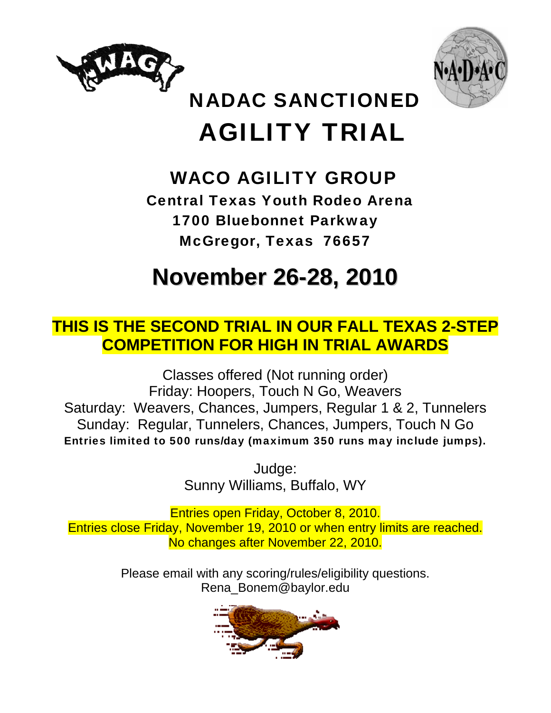



# NADAC SANCTIONED AGILITY TRIAL

## WACO AGILITY GROUP

 Central Texas Youth Rodeo Arena 1700 Bluebonnet Parkway McGregor, Texas 76657

# **November 26-28, 2010**

## **THIS IS THE SECOND TRIAL IN OUR FALL TEXAS 2-STEP COMPETITION FOR HIGH IN TRIAL AWARDS**

Classes offered (Not running order) Friday: Hoopers, Touch N Go, Weavers Saturday: Weavers, Chances, Jumpers, Regular 1 & 2, Tunnelers Sunday: Regular, Tunnelers, Chances, Jumpers, Touch N Go Entries limited to 500 runs/day (maximum 350 runs may include jumps).

> Judge: Sunny Williams, Buffalo, WY

Entries open Friday, October 8, 2010. Entries close Friday, November 19, 2010 or when entry limits are reached. No changes after November 22, 2010.

> Please email with any scoring/rules/eligibility questions. Rena\_Bonem@baylor.edu

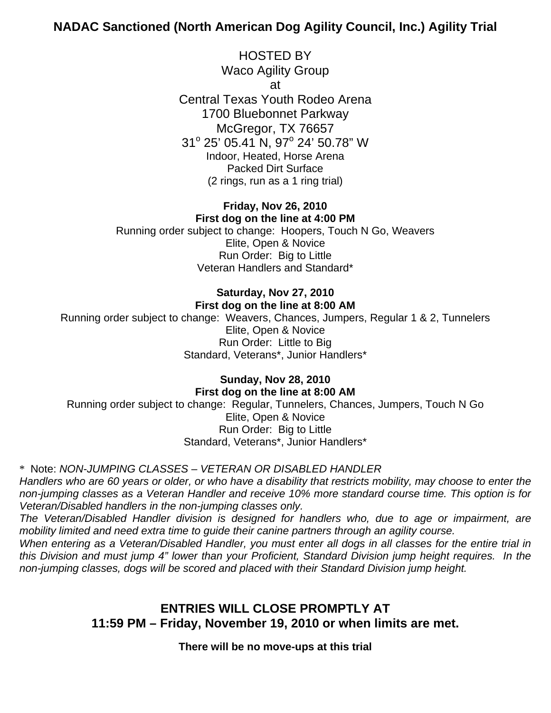## **NADAC Sanctioned (North American Dog Agility Council, Inc.) Agility Trial**

HOSTED BY Waco Agility Group at Central Texas Youth Rodeo Arena 1700 Bluebonnet Parkway McGregor, TX 76657 31° 25' 05.41 N, 97° 24' 50.78" W Indoor, Heated, Horse Arena Packed Dirt Surface (2 rings, run as a 1 ring trial)

### **Friday, Nov 26, 2010 First dog on the line at 4:00 PM**

Running order subject to change: Hoopers, Touch N Go, Weavers Elite, Open & Novice Run Order: Big to Little Veteran Handlers and Standard\*

## **Saturday, Nov 27, 2010 First dog on the line at 8:00 AM**

Running order subject to change: Weavers, Chances, Jumpers, Regular 1 & 2, Tunnelers Elite, Open & Novice Run Order: Little to Big Standard, Veterans\*, Junior Handlers\*

## **Sunday, Nov 28, 2010 First dog on the line at 8:00 AM**

Running order subject to change: Regular, Tunnelers, Chances, Jumpers, Touch N Go Elite, Open & Novice Run Order: Big to Little Standard, Veterans\*, Junior Handlers\*

## \* Note: *NON-JUMPING CLASSES – VETERAN OR DISABLED HANDLER*

*Handlers who are 60 years or older, or who have a disability that restricts mobility, may choose to enter the non-jumping classes as a Veteran Handler and receive 10% more standard course time. This option is for Veteran/Disabled handlers in the non-jumping classes only.* 

*The Veteran/Disabled Handler division is designed for handlers who, due to age or impairment, are mobility limited and need extra time to guide their canine partners through an agility course.* 

*When entering as a Veteran/Disabled Handler, you must enter all dogs in all classes for the entire trial in this Division and must jump 4" lower than your Proficient, Standard Division jump height requires. In the non-jumping classes, dogs will be scored and placed with their Standard Division jump height.* 

## **ENTRIES WILL CLOSE PROMPTLY AT 11:59 PM – Friday, November 19, 2010 or when limits are met.**

## **There will be no move-ups at this trial**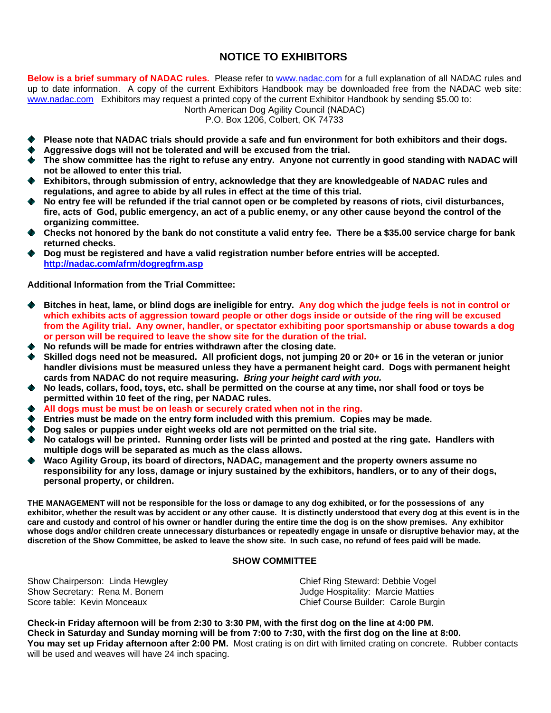## **NOTICE TO EXHIBITORS**

**Below is a brief summary of NADAC rules.** Please refer to [www.nadac.com](http://www.nadac.com/) for a full explanation of all NADAC rules and up to date information. A copy of the current Exhibitors Handbook may be downloaded free from the NADAC web site: [www.nadac.com](http://www.nadac.com/) Exhibitors may request a printed copy of the current Exhibitor Handbook by sending \$5.00 to:

North American Dog Agility Council (NADAC)

P.O. Box 1206, Colbert, OK 74733

- **Please note that NADAC trials should provide a safe and fun environment for both exhibitors and their dogs.**
- **Aggressive dogs will not be tolerated and will be excused from the trial.**
- **The show committee has the right to refuse any entry. Anyone not currently in good standing with NADAC will not be allowed to enter this trial.**
- **Exhibitors, through submission of entry, acknowledge that they are knowledgeable of NADAC rules and regulations, and agree to abide by all rules in effect at the time of this trial.**
- **No entry fee will be refunded if the trial cannot open or be completed by reasons of riots, civil disturbances, fire, acts of God, public emergency, an act of a public enemy, or any other cause beyond the control of the organizing committee.**
- **Checks not honored by the bank do not constitute a valid entry fee. There be a \$35.00 service charge for bank returned checks.**
- **Dog must be registered and have a valid registration number before entries will be accepted. <http://nadac.com/afrm/dogregfrm.asp>**

**Additional Information from the Trial Committee:** 

- **Bitches in heat, lame, or blind dogs are ineligible for entry. Any dog which the judge feels is not in control or which exhibits acts of aggression toward people or other dogs inside or outside of the ring will be excused from the Agility trial. Any owner, handler, or spectator exhibiting poor sportsmanship or abuse towards a dog or person will be required to leave the show site for the duration of the trial.**
- **No refunds will be made for entries withdrawn after the closing date.**
- **Skilled dogs need not be measured. All proficient dogs, not jumping 20 or 20+ or 16 in the veteran or junior handler divisions must be measured unless they have a permanent height card. Dogs with permanent height cards from NADAC do not require measuring.** *Bring your height card with you.*
- **No leads, collars, food, toys, etc. shall be permitted on the course at any time, nor shall food or toys be permitted within 10 feet of the ring, per NADAC rules.**
- **All dogs must be must be on leash or securely crated when not in the ring.**
- **Entries must be made on the entry form included with this premium. Copies may be made.**
- **Dog sales or puppies under eight weeks old are not permitted on the trial site.**
- **No catalogs will be printed. Running order lists will be printed and posted at the ring gate. Handlers with multiple dogs will be separated as much as the class allows.**
- **Waco Agility Group, its board of directors, NADAC, management and the property owners assume no responsibility for any loss, damage or injury sustained by the exhibitors, handlers, or to any of their dogs, personal property, or children.**

**THE MANAGEMENT will not be responsible for the loss or damage to any dog exhibited, or for the possessions of any exhibitor, whether the result was by accident or any other cause. It is distinctly understood that every dog at this event is in the care and custody and control of his owner or handler during the entire time the dog is on the show premises. Any exhibitor whose dogs and/or children create unnecessary disturbances or repeatedly engage in unsafe or disruptive behavior may, at the discretion of the Show Committee, be asked to leave the show site. In such case, no refund of fees paid will be made.** 

#### **SHOW COMMITTEE**

Show Chairperson: Linda Hewgley Show Secretary: Rena M. Bonem Score table: Kevin Monceaux

Chief Ring Steward: Debbie Vogel Judge Hospitality: Marcie Matties Chief Course Builder: Carole Burgin

**Check-in Friday afternoon will be from 2:30 to 3:30 PM, with the first dog on the line at 4:00 PM. Check in Saturday and Sunday morning will be from 7:00 to 7:30, with the first dog on the line at 8:00. You may set up Friday afternoon after 2:00 PM.** Most crating is on dirt with limited crating on concrete. Rubber contacts will be used and weaves will have 24 inch spacing.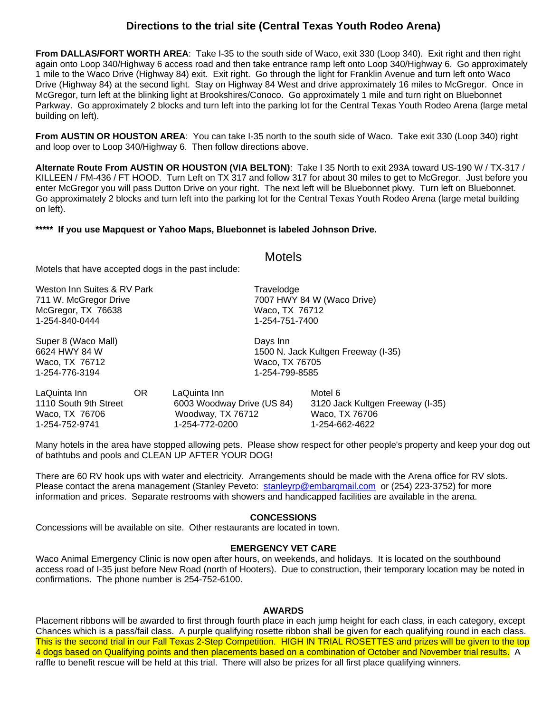## **Directions to the trial site (Central Texas Youth Rodeo Arena)**

**From DALLAS/FORT WORTH AREA**: Take I-35 to the south side of Waco, exit 330 (Loop 340). Exit right and then right again onto Loop 340/Highway 6 access road and then take entrance ramp left onto Loop 340/Highway 6. Go approximately 1 mile to the Waco Drive (Highway 84) exit. Exit right. Go through the light for Franklin Avenue and turn left onto Waco Drive (Highway 84) at the second light. Stay on Highway 84 West and drive approximately 16 miles to McGregor. Once in McGregor, turn left at the blinking light at Brookshires/Conoco. Go approximately 1 mile and turn right on Bluebonnet Parkway. Go approximately 2 blocks and turn left into the parking lot for the Central Texas Youth Rodeo Arena (large metal building on left).

**From AUSTIN OR HOUSTON AREA:** You can take I-35 north to the south side of Waco. Take exit 330 (Loop 340) right and loop over to Loop 340/Highway 6. Then follow directions above.

**Alternate Route From AUSTIN OR HOUSTON (VIA BELTON)**: Take I 35 North to exit 293A toward US-190 W / TX-317 / KILLEEN / FM-436 / FT HOOD. Turn Left on TX 317 and follow 317 for about 30 miles to get to McGregor. Just before you enter McGregor you will pass Dutton Drive on your right. The next left will be Bluebonnet pkwy. Turn left on Bluebonnet. Go approximately 2 blocks and turn left into the parking lot for the Central Texas Youth Rodeo Arena (large metal building on left).

Motels

#### **\*\*\*\*\* If you use Mapquest or Yahoo Maps, Bluebonnet is labeled Johnson Drive.**

Motels that have accepted dogs in the past include: Weston Inn Suites & RV Park Travelodge 711 W. McGregor Drive 7007 HWY 84 W (Waco Drive) McGregor, TX 76638 Waco, TX 76712 1-254-840-0444 1-254-751-7400 Super 8 (Waco Mall) **Days** Inn 6624 HWY 84 W 1500 N. Jack Kultgen Freeway (I-35) Waco, TX 76712 Waco, TX 76705 1-254-799-8585 LaQuinta Inn OR LaQuinta Inn Motel 6 1110 South 9th Street 6003 Woodway Drive (US 84) 3120 Jack Kultgen Freeway (I-35) Waco, TX 76706 Woodway, TX 76712 Waco, TX 76706 1-254-752-9741 1-254-772-0200 1-254-662-4622

Many hotels in the area have stopped allowing pets. Please show respect for other people's property and keep your dog out of bathtubs and pools and CLEAN UP AFTER YOUR DOG!

There are 60 RV hook ups with water and electricity. Arrangements should be made with the Arena office for RV slots. Please contact the arena management (Stanley Peveto: stanleyrp@embargmail.com or (254) 223-3752) for more information and prices. Separate restrooms with showers and handicapped facilities are available in the arena.

#### **CONCESSIONS**

Concessions will be available on site. Other restaurants are located in town.

#### **EMERGENCY VET CARE**

Waco Animal Emergency Clinic is now open after hours, on weekends, and holidays. It is located on the southbound access road of I-35 just before New Road (north of Hooters). Due to construction, their temporary location may be noted in confirmations. The phone number is 254-752-6100.

#### **AWARDS**

Placement ribbons will be awarded to first through fourth place in each jump height for each class, in each category, except Chances which is a pass/fail class. A purple qualifying rosette ribbon shall be given for each qualifying round in each class. This is the second trial in our Fall Texas 2-Step Competition. HIGH IN TRIAL ROSETTES and prizes will be given to the top 4 dogs based on Qualifying points and then placements based on a combination of October and November trial results. A raffle to benefit rescue will be held at this trial. There will also be prizes for all first place qualifying winners.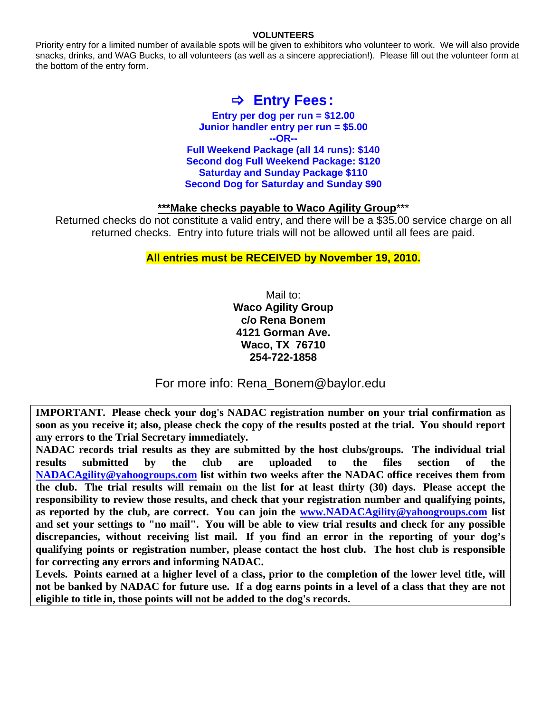#### **VOLUNTEERS**

Priority entry for a limited number of available spots will be given to exhibitors who volunteer to work. We will also provide snacks, drinks, and WAG Bucks, to all volunteers (as well as a sincere appreciation!). Please fill out the volunteer form at the bottom of the entry form.

## B **Entry Fees:**

**Entry per dog per run = \$12.00 Junior handler entry per run = \$5.00 --OR-- Full Weekend Package (all 14 runs): \$140 Second dog Full Weekend Package: \$120 Saturday and Sunday Package \$110 Second Dog for Saturday and Sunday \$90** 

### **\*\*\*Make checks payable to Waco Agility Group**\*\*\*

Returned checks do not constitute a valid entry, and there will be a \$35.00 service charge on all returned checks. Entry into future trials will not be allowed until all fees are paid.

## **All entries must be RECEIVED by November 19, 2010.**

Mail to: **Waco Agility Group c/o Rena Bonem 4121 Gorman Ave. Waco, TX 76710 254-722-1858** 

For more info: Rena\_Bonem@baylor.edu

**IMPORTANT. Please check your dog's NADAC registration number on your trial confirmation as soon as you receive it; also, please check the copy of the results posted at the trial. You should report any errors to the Trial Secretary immediately.** 

**NADAC records trial results as they are submitted by the host clubs/groups. The individual trial results submitted by the club are uploaded to the files section of the [NADACAgility@yahoogroups.com](mailto:NADACAgility@yahoogroups.com) list within two weeks after the NADAC office receives them from the club. The trial results will remain on the list for at least thirty (30) days. Please accept the responsibility to review those results, and check that your registration number and qualifying points, as reported by the club, are correct. You can join the www.NADACAgility@yahoogroups.com list and set your settings to "no mail". You will be able to view trial results and check for any possible discrepancies, without receiving list mail. If you find an error in the reporting of your dog's qualifying points or registration number, please contact the host club. The host club is responsible for correcting any errors and informing NADAC.** 

**Levels. Points earned at a higher level of a class, prior to the completion of the lower level title, will not be banked by NADAC for future use. If a dog earns points in a level of a class that they are not eligible to title in, those points will not be added to the dog's records.**